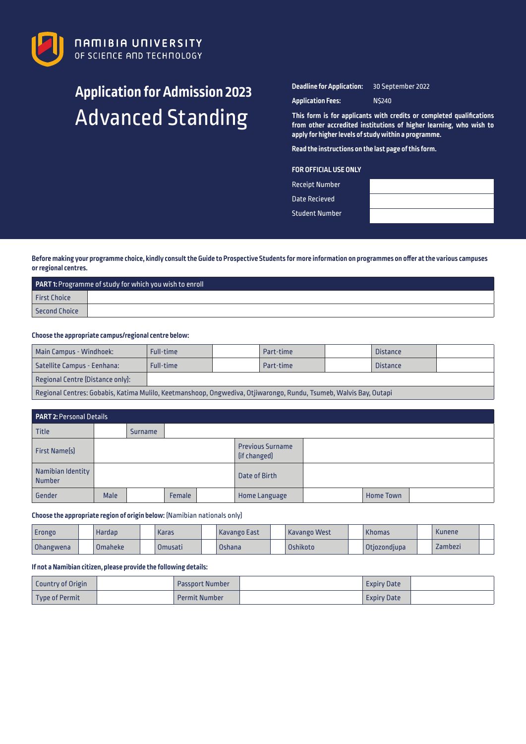

# **Application for Admission 2023** Advanced Standing

**Deadline for Application:** 30 September 2022

**Application Fees:** N\$240

**This form is for applicants with credits or completed qualifications from other accredited institutions of higher learning, who wish to apply for higher levels of study within a programme.** 

**Read the instructions on the last page of this form.**

# **FOR OFFICIAL USE ONLY**

| <b>Receipt Number</b> |  |
|-----------------------|--|
| Date Recieved         |  |

Student Number

**Before making your programme choice, kindly consult the Guide to Prospective Students for more information on programmes on offer at the various campuses or regional centres.**

| <b>PART 1:</b> Programme of study for which you wish to enroll |  |  |  |  |  |  |  |
|----------------------------------------------------------------|--|--|--|--|--|--|--|
| <b>First Choice</b>                                            |  |  |  |  |  |  |  |
| Second Choice                                                  |  |  |  |  |  |  |  |

## **Choose the appropriate campus/regional centre below:**

| <b>Main Campus - Windhoek:</b>                                                                                    | Full-time |  | Part-time |  | <b>Distance</b> |  |  |  |  |
|-------------------------------------------------------------------------------------------------------------------|-----------|--|-----------|--|-----------------|--|--|--|--|
| Satellite Campus - Eenhana:                                                                                       | Full-time |  | Part-time |  | <b>Distance</b> |  |  |  |  |
| Regional Centre (Distance only):                                                                                  |           |  |           |  |                 |  |  |  |  |
| Regional Centres: Gobabis, Katima Mulilo, Keetmanshoop, Ongwediva, Otjiwarongo, Rundu, Tsumeb, Walvis Bay, Outapi |           |  |           |  |                 |  |  |  |  |

| <b>PART 2: Personal Details</b>    |      |                |        |                                         |                      |  |                  |  |  |  |
|------------------------------------|------|----------------|--------|-----------------------------------------|----------------------|--|------------------|--|--|--|
| Title                              |      | <b>Surname</b> |        |                                         |                      |  |                  |  |  |  |
| <b>First Name(s)</b>               |      |                |        | <b>Previous Surname</b><br>(if changed) |                      |  |                  |  |  |  |
| Namibian Identity<br><b>Number</b> |      |                |        |                                         | Date of Birth        |  |                  |  |  |  |
| Gender                             | Male |                | Female |                                         | <b>Home Language</b> |  | <b>Home Town</b> |  |  |  |

## **Choose the appropriate region of origin below:** (Namibian nationals only)

| <b>Erongo</b> | Hardap    | <b>Karas</b> | <b>Kavango East</b> | Kavango West | <b>Khomas</b> | <b>Kunene</b> |  |
|---------------|-----------|--------------|---------------------|--------------|---------------|---------------|--|
| Ohangwena     | l Omaheke | Omusati      | Oshana              | Oshikoto     | Otjozondjupa  | Zambezi       |  |

## **If not a Namibian citizen, please provide the following details:**

| <b>Country of Origin</b> | <b>Passport Number</b> | Expiry Date |  |
|--------------------------|------------------------|-------------|--|
| Type of Permit           | <b>Permit Number</b>   | Expiry Date |  |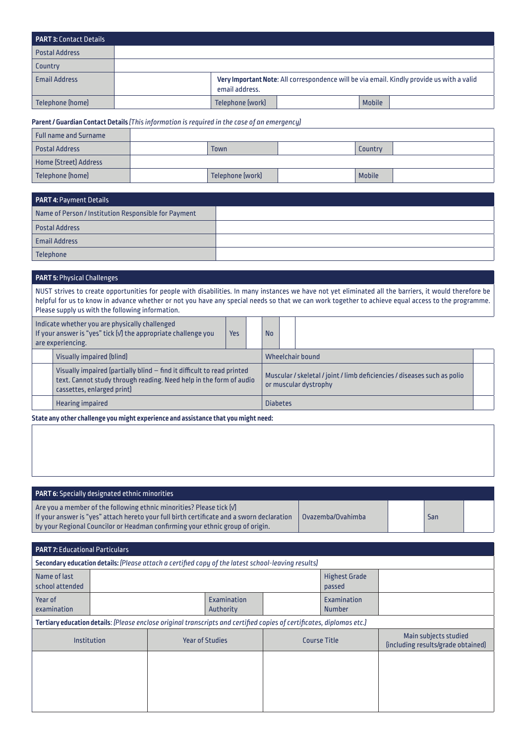| <b>PART 3: Contact Details</b> |                  |               |                                                                                           |
|--------------------------------|------------------|---------------|-------------------------------------------------------------------------------------------|
| <b>Postal Address</b>          |                  |               |                                                                                           |
| Country                        |                  |               |                                                                                           |
| <b>Email Address</b>           | email address.   |               | Very Important Note: All correspondence will be via email. Kindly provide us with a valid |
| Telephone (home)               | Telephone [work] | <b>Mobile</b> |                                                                                           |

# **Parent / Guardian Contact Details** *(This information is required in the case of an emergency)*

| Full name and Surname |                  |               |  |
|-----------------------|------------------|---------------|--|
| <b>Postal Address</b> | Town             | Country       |  |
| Home [Street] Address |                  |               |  |
| Telephone (home)      | Telephone (work) | <b>Mobile</b> |  |

| <b>PART 4: Payment Details</b>                       |  |
|------------------------------------------------------|--|
| Name of Person / Institution Responsible for Payment |  |
| <b>Postal Address</b>                                |  |
| <b>Email Address</b>                                 |  |
| Telephone                                            |  |

# **PART 5:** Physical Challenges

NUST strives to create opportunities for people with disabilities. In many instances we have not yet eliminated all the barriers, it would therefore be helpful for us to know in advance whether or not you have any special needs so that we can work together to achieve equal access to the programme. Please supply us with the following information.

| Indicate whether you are physically challenged<br>If your answer is "yes" tick [v] the appropriate challenge you<br>are experiencing. |                                                                                                                                                                            | <b>Yes</b> |  | <b>No</b>       |  |                                                                                                   |  |
|---------------------------------------------------------------------------------------------------------------------------------------|----------------------------------------------------------------------------------------------------------------------------------------------------------------------------|------------|--|-----------------|--|---------------------------------------------------------------------------------------------------|--|
|                                                                                                                                       | Visually impaired [blind]                                                                                                                                                  |            |  |                 |  | Wheelchair bound                                                                                  |  |
|                                                                                                                                       | Visually impaired (partially blind – find it difficult to read printed<br>text. Cannot study through reading. Need help in the form of audio<br>cassettes, enlarged print) |            |  |                 |  | Muscular / skeletal / joint / limb deficiencies / diseases such as polio<br>or muscular dystrophy |  |
| <b>Hearing impaired</b>                                                                                                               |                                                                                                                                                                            |            |  | <b>Diabetes</b> |  |                                                                                                   |  |

**State any other challenge you might experience and assistance that you might need:**

| <b>PART 6:</b> Specially designated ethnic minorities                                                                                                                                                                                                                        |                   |     |  |
|------------------------------------------------------------------------------------------------------------------------------------------------------------------------------------------------------------------------------------------------------------------------------|-------------------|-----|--|
| $\mid$ Are you a member of the following ethnic minorities? Please tick $\left[\varphi\right]$<br>If your answer is "yes" attach hereto your full birth certificate and a sworn declaration<br>by your Regional Councilor or Headman confirming your ethnic group of origin. | Ovazemba/Ovahimba | San |  |

| <b>PART 7: Educational Particulars</b>                                                             |  |  |                                                                                                                       |  |                                |                                                             |  |  |  |  |  |
|----------------------------------------------------------------------------------------------------|--|--|-----------------------------------------------------------------------------------------------------------------------|--|--------------------------------|-------------------------------------------------------------|--|--|--|--|--|
| Secondary education details: (Please attach a certified copy of the latest school-leaving results) |  |  |                                                                                                                       |  |                                |                                                             |  |  |  |  |  |
| Name of last<br>school attended                                                                    |  |  |                                                                                                                       |  | <b>Highest Grade</b><br>passed |                                                             |  |  |  |  |  |
| Year of<br>examination                                                                             |  |  | Examination<br>Authority                                                                                              |  | Examination<br><b>Number</b>   |                                                             |  |  |  |  |  |
|                                                                                                    |  |  | Tertiary education details: (Please enclose original transcripts and certified copies of certificates, diplomas etc.) |  |                                |                                                             |  |  |  |  |  |
| Institution                                                                                        |  |  | <b>Year of Studies</b>                                                                                                |  | <b>Course Title</b>            | Main subjects studied<br>[including results/grade obtained] |  |  |  |  |  |
|                                                                                                    |  |  |                                                                                                                       |  |                                |                                                             |  |  |  |  |  |
|                                                                                                    |  |  |                                                                                                                       |  |                                |                                                             |  |  |  |  |  |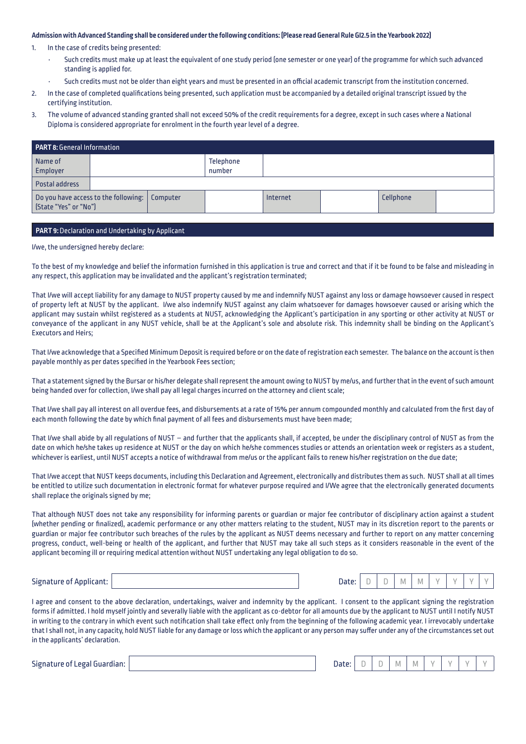## **Admission with Advanced Standing shall be considered under the following conditions: (Please read General Rule GI2.5 in the Yearbook 2022)**

- 1. In the case of credits being presented:
	- Such credits must make up at least the equivalent of one study period (one semester or one year) of the programme for which such advanced standing is applied for.
	- Such credits must not be older than eight years and must be presented in an official academic transcript from the institution concerned.
- 2. In the case of completed qualifications being presented, such application must be accompanied by a detailed original transcript issued by the certifying institution.
- 3. The volume of advanced standing granted shall not exceed 50% of the credit requirements for a degree, except in such cases where a National Diploma is considered appropriate for enrolment in the fourth year level of a degree.

| <b>PART 8: General Information</b>                                       |  |  |                            |          |  |           |  |  |  |
|--------------------------------------------------------------------------|--|--|----------------------------|----------|--|-----------|--|--|--|
| Name of<br>Employer                                                      |  |  | <b>Telephone</b><br>number |          |  |           |  |  |  |
| Postal address                                                           |  |  |                            |          |  |           |  |  |  |
| Do you have access to the following:   Computer<br>[State "Yes" or "No"] |  |  |                            | Internet |  | Cellphone |  |  |  |

## **PART 9:** Declaration and Undertaking by Applicant

I/we, the undersigned hereby declare:

To the best of my knowledge and belief the information furnished in this application is true and correct and that if it be found to be false and misleading in any respect, this application may be invalidated and the applicant's registration terminated;

That I/we will accept liability for any damage to NUST property caused by me and indemnify NUST against any loss or damage howsoever caused in respect of property left at NUST by the applicant. I/we also indemnify NUST against any claim whatsoever for damages howsoever caused or arising which the applicant may sustain whilst registered as a students at NUST, acknowledging the Applicant's participation in any sporting or other activity at NUST or conveyance of the applicant in any NUST vehicle, shall be at the Applicant's sole and absolute risk. This indemnity shall be binding on the Applicant's Executors and Heirs;

That I/we acknowledge that a Specified Minimum Deposit is required before or on the date of registration each semester. The balance on the account is then payable monthly as per dates specified in the Yearbook Fees section;

That a statement signed by the Bursar or his/her delegate shall represent the amount owing to NUST by me/us, and further that in the event of such amount being handed over for collection, I/we shall pay all legal charges incurred on the attorney and client scale;

That I/we shall pay all interest on all overdue fees, and disbursements at a rate of 15% per annum compounded monthly and calculated from the first day of each month following the date by which final payment of all fees and disbursements must have been made;

That I/we shall abide by all regulations of NUST – and further that the applicants shall, if accepted, be under the disciplinary control of NUST as from the date on which he/she takes up residence at NUST or the day on which he/she commences studies or attends an orientation week or registers as a student, whichever is earliest, until NUST accepts a notice of withdrawal from me/us or the applicant fails to renew his/her registration on the due date;

That I/we accept that NUST keeps documents, including this Declaration and Agreement, electronically and distributes them as such. NUST shall at all times be entitled to utilize such documentation in electronic format for whatever purpose required and I/We agree that the electronically generated documents shall replace the originals signed by me;

That although NUST does not take any responsibility for informing parents or guardian or major fee contributor of disciplinary action against a student (whether pending or finalized), academic performance or any other matters relating to the student, NUST may in its discretion report to the parents or guardian or major fee contributor such breaches of the rules by the applicant as NUST deems necessary and further to report on any matter concerning progress, conduct, well-being or health of the applicant, and further that NUST may take all such steps as it considers reasonable in the event of the applicant becoming ill or requiring medical attention without NUST undertaking any legal obligation to do so.

Signature of Applicant: Date: D D M M Y Y Y Y

| h<br>ate:<br>V |  |
|----------------|--|
|----------------|--|

I agree and consent to the above declaration, undertakings, waiver and indemnity by the applicant. I consent to the applicant signing the registration forms if admitted. I hold myself jointly and severally liable with the applicant as co-debtor for all amounts due by the applicant to NUST until I notify NUST in writing to the contrary in which event such notification shall take effect only from the beginning of the following academic year. I irrevocably undertake that I shall not, in any capacity, hold NUST liable for any damage or loss which the applicant or any person may suffer under any of the circumstances set out in the applicants' declaration.

Signature of Legal Guardian: New York Date: Date: Date: Date: Date: Date: Date: D

| ate:<br>v<br>v |  |  |  | $\overline{a}$ | ٠ |  |  |  |  |
|----------------|--|--|--|----------------|---|--|--|--|--|
|----------------|--|--|--|----------------|---|--|--|--|--|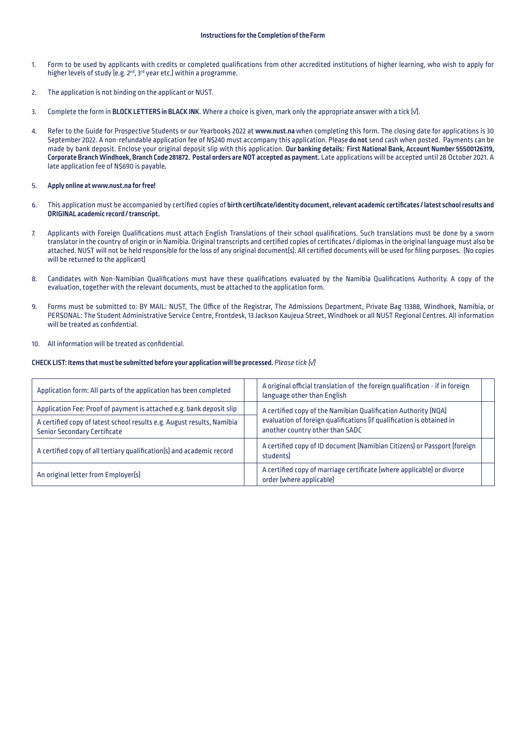- 1. Form to be used by applicants with credits or completed qualifications from other accredited institutions of higher learning, who wish to apply for higher levels of study (e.g. 2<sup>nd</sup>, 3<sup>rd</sup> year etc.) within a programme.
- 2. The application is not binding on the applicant or NUST.
- 3. Complete the form in **BLOCK LETTERS in BLACK INK**. Where a choice is given, mark only the appropriate answer with a tick (√).
- 4. Refer to the Guide for Prospective Students or our Yearbooks 2022 at **www.nust.na**when completing this form. The closing date for applications is 30 September 2022. A non-refundable application fee of N\$240 must accompany this application. Please **do not** send cash when posted. Payments can be made by bank deposit. Enclose your original deposit slip with this application. **Our banking details: First National Bank, Account Number 55500126319, Corporate Branch Windhoek, Branch Code 281872. Postal orders are NOT accepted as payment.** Late applications will be accepted until 28 October 2021. A late application fee of N\$690 is payable**.**

### 5. **Apply online at www.nust.na for free!**

- 6. This application must be accompanied by certified copies of **birth certificate/identity document, relevant academic certificates / latest school results and ORIGINAL academic record / transcript.**
- 7. Applicants with Foreign Qualifications must attach English Translations of their school qualifications. Such translations must be done by a sworn translator in the country of origin or in Namibia. Original transcripts and certified copies of certificates / diplomas in the original language must also be attached. NUST will not be held responsible for the loss of any original document(s). All certified documents will be used for filing purposes. (No copies will be returned to the applicant)
- 8. Candidates with Non-Namibian Qualifications must have these qualifications evaluated by the Namibia Qualifications Authority. A copy of the evaluation, together with the relevant documents, must be attached to the application form.
- 9. Forms must be submitted to: BY MAIL: NUST, The Office of the Registrar, The Admissions Department, Private Bag 13388, Windhoek, Namibia, or PERSONAL: The Student Administrative Service Centre, Frontdesk, 13 Jackson Kaujeua Street, Windhoek or all NUST Regional Centres. All information will be treated as confidential.
- 10. All information will be treated as confidential.

#### **CHECK LIST: Items that must be submitted before your application will be processed.** *Please tick (√)*

| Application form: All parts of the application has been completed                                             | A original official translation of the foreign qualification - if in foreign<br>language other than English |  |  |  |  |
|---------------------------------------------------------------------------------------------------------------|-------------------------------------------------------------------------------------------------------------|--|--|--|--|
| Application Fee: Proof of payment is attached e.g. bank deposit slip                                          | A certified copy of the Namibian Qualification Authority [NQA]                                              |  |  |  |  |
| A certified copy of latest school results e.g. August results, Namibia<br><b>Senior Secondary Certificate</b> | evaluation of foreign qualifications (if qualification is obtained in<br>another country other than SADC    |  |  |  |  |
| A certified copy of all tertiary qualification(s) and academic record                                         | A certified copy of ID document (Namibian Citizens) or Passport (foreign<br>studentsl                       |  |  |  |  |
| An original letter from Employer[s]                                                                           | A certified copy of marriage certificate (where applicable) or divorce<br>order (where applicable)          |  |  |  |  |